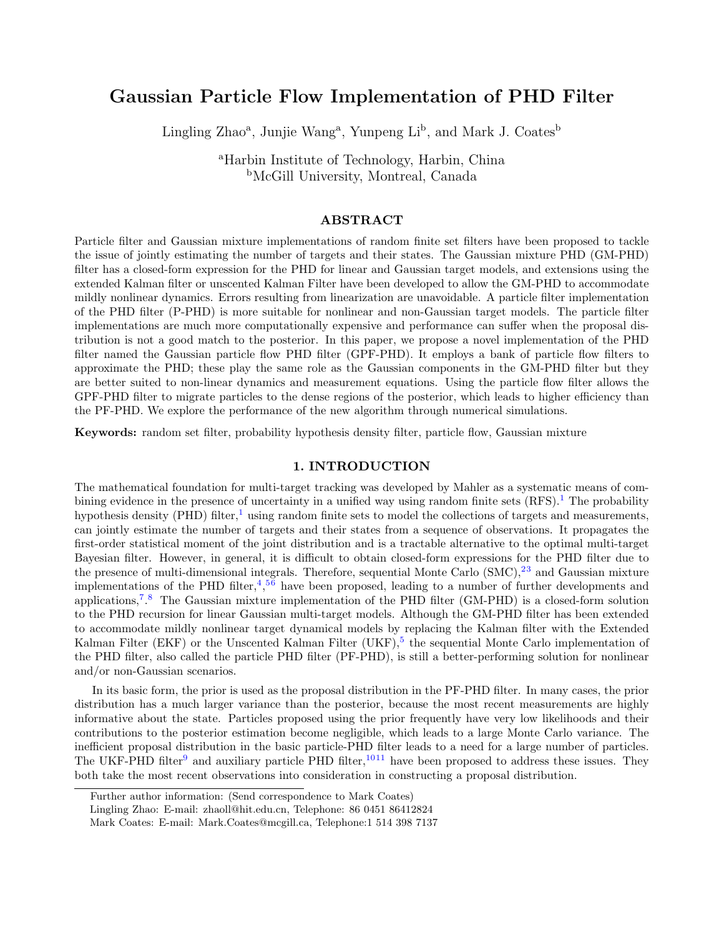# Gaussian Particle Flow Implementation of PHD Filter

Lingling Zhao<sup>a</sup>, Junjie Wang<sup>a</sup>, Yunpeng Li<sup>b</sup>, and Mark J. Coates<sup>b</sup>

<sup>a</sup>Harbin Institute of Technology, Harbin, China <sup>b</sup>McGill University, Montreal, Canada

# ABSTRACT

Particle filter and Gaussian mixture implementations of random finite set filters have been proposed to tackle the issue of jointly estimating the number of targets and their states. The Gaussian mixture PHD (GM-PHD) filter has a closed-form expression for the PHD for linear and Gaussian target models, and extensions using the extended Kalman filter or unscented Kalman Filter have been developed to allow the GM-PHD to accommodate mildly nonlinear dynamics. Errors resulting from linearization are unavoidable. A particle filter implementation of the PHD filter (P-PHD) is more suitable for nonlinear and non-Gaussian target models. The particle filter implementations are much more computationally expensive and performance can suffer when the proposal distribution is not a good match to the posterior. In this paper, we propose a novel implementation of the PHD filter named the Gaussian particle flow PHD filter (GPF-PHD). It employs a bank of particle flow filters to approximate the PHD; these play the same role as the Gaussian components in the GM-PHD filter but they are better suited to non-linear dynamics and measurement equations. Using the particle flow filter allows the GPF-PHD filter to migrate particles to the dense regions of the posterior, which leads to higher efficiency than the PF-PHD. We explore the performance of the new algorithm through numerical simulations.

Keywords: random set filter, probability hypothesis density filter, particle flow, Gaussian mixture

## 1. INTRODUCTION

The mathematical foundation for multi-target tracking was developed by Mahler as a systematic means of combining evidence in the presence of uncertainty in a unified way using random finite sets  $(RFS)$ .<sup>[1](#page-8-0)</sup> The probability hypothesis density (PHD) filter,<sup>[1](#page-8-0)</sup> using random finite sets to model the collections of targets and measurements, can jointly estimate the number of targets and their states from a sequence of observations. It propagates the first-order statistical moment of the joint distribution and is a tractable alternative to the optimal multi-target Bayesian filter. However, in general, it is difficult to obtain closed-form expressions for the PHD filter due to the presence of multi-dimensional integrals. Therefore, sequential Monte Carlo  $(SMC),^{23}$  $(SMC),^{23}$  $(SMC),^{23}$  $(SMC),^{23}$  and Gaussian mixture implementations of the PHD filter,  $\frac{4}{3}$  $\frac{4}{3}$  $\frac{4}{3}$ <sup>[5](#page-9-2)[6](#page-9-3)</sup> have been proposed, leading to a number of further developments and applications,<sup>[7](#page-9-4)</sup>.<sup>[8](#page-9-5)</sup> The Gaussian mixture implementation of the PHD filter (GM-PHD) is a closed-form solution to the PHD recursion for linear Gaussian multi-target models. Although the GM-PHD filter has been extended to accommodate mildly nonlinear target dynamical models by replacing the Kalman filter with the Extended Kalman Filter (EKF) or the Unscented Kalman Filter (UKF),<sup>[5](#page-9-2)</sup> the sequential Monte Carlo implementation of the PHD filter, also called the particle PHD filter (PF-PHD), is still a better-performing solution for nonlinear and/or non-Gaussian scenarios.

In its basic form, the prior is used as the proposal distribution in the PF-PHD filter. In many cases, the prior distribution has a much larger variance than the posterior, because the most recent measurements are highly informative about the state. Particles proposed using the prior frequently have very low likelihoods and their contributions to the posterior estimation become negligible, which leads to a large Monte Carlo variance. The inefficient proposal distribution in the basic particle-PHD filter leads to a need for a large number of particles. The UKF-PHD filter<sup>[9](#page-9-6)</sup> and auxiliary particle PHD filter,<sup>[10](#page-9-7)[11](#page-9-8)</sup> have been proposed to address these issues. They both take the most recent observations into consideration in constructing a proposal distribution.

Further author information: (Send correspondence to Mark Coates)

Lingling Zhao: E-mail: zhaoll@hit.edu.cn, Telephone: 86 0451 86412824

Mark Coates: E-mail: Mark.Coates@mcgill.ca, Telephone:1 514 398 7137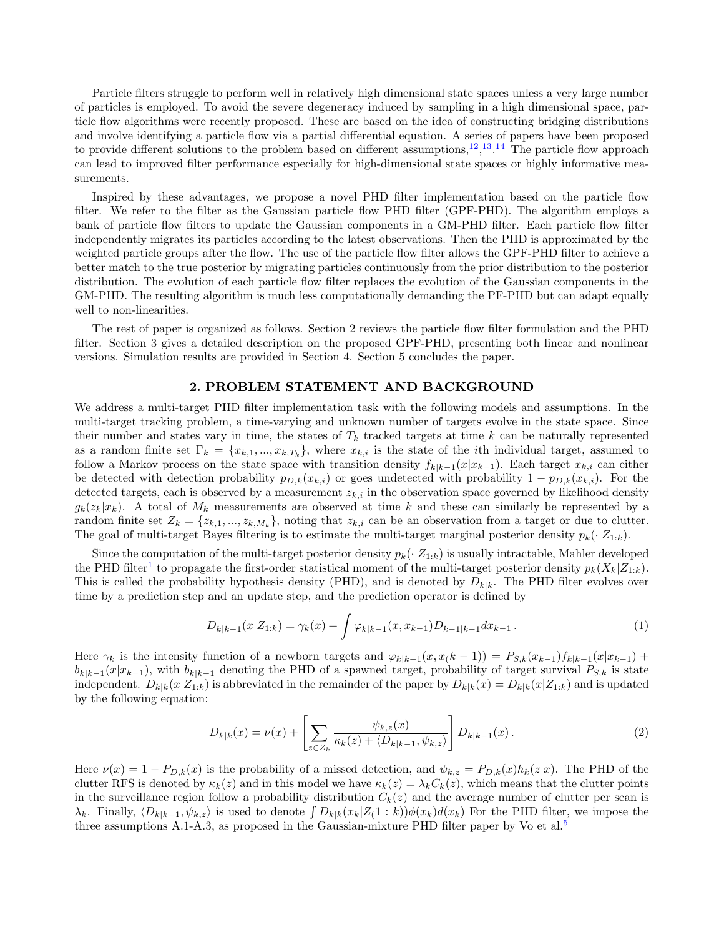Particle filters struggle to perform well in relatively high dimensional state spaces unless a very large number of particles is employed. To avoid the severe degeneracy induced by sampling in a high dimensional space, particle flow algorithms were recently proposed. These are based on the idea of constructing bridging distributions and involve identifying a particle flow via a partial differential equation. A series of papers have been proposed to provide different solutions to the problem based on different assumptions,  $^{12}$  $^{12}$  $^{12}$ ,  $^{13}$  $^{13}$  $^{13}$ ,  $^{14}$  $^{14}$  $^{14}$ . The particle flow approach can lead to improved filter performance especially for high-dimensional state spaces or highly informative measurements.

Inspired by these advantages, we propose a novel PHD filter implementation based on the particle flow filter. We refer to the filter as the Gaussian particle flow PHD filter (GPF-PHD). The algorithm employs a bank of particle flow filters to update the Gaussian components in a GM-PHD filter. Each particle flow filter independently migrates its particles according to the latest observations. Then the PHD is approximated by the weighted particle groups after the flow. The use of the particle flow filter allows the GPF-PHD filter to achieve a better match to the true posterior by migrating particles continuously from the prior distribution to the posterior distribution. The evolution of each particle flow filter replaces the evolution of the Gaussian components in the GM-PHD. The resulting algorithm is much less computationally demanding the PF-PHD but can adapt equally well to non-linearities.

The rest of paper is organized as follows. Section 2 reviews the particle flow filter formulation and the PHD filter. Section 3 gives a detailed description on the proposed GPF-PHD, presenting both linear and nonlinear versions. Simulation results are provided in Section 4. Section 5 concludes the paper.

#### 2. PROBLEM STATEMENT AND BACKGROUND

We address a multi-target PHD filter implementation task with the following models and assumptions. In the multi-target tracking problem, a time-varying and unknown number of targets evolve in the state space. Since their number and states vary in time, the states of  $T_k$  tracked targets at time k can be naturally represented as a random finite set  $\Gamma_k = \{x_{k,1},...,x_{k,T_k}\}\$ , where  $x_{k,i}$  is the state of the *i*th individual target, assumed to follow a Markov process on the state space with transition density  $f_{k|k-1}(x|x_{k-1})$ . Each target  $x_{k,i}$  can either be detected with detection probability  $p_{D,k}(x_{k,i})$  or goes undetected with probability  $1 - p_{D,k}(x_{k,i})$ . For the detected targets, each is observed by a measurement  $z_{k,i}$  in the observation space governed by likelihood density  $g_k(z_k|x_k)$ . A total of  $M_k$  measurements are observed at time k and these can similarly be represented by a random finite set  $Z_k = \{z_{k,1},...,z_{k,M_k}\}$ , noting that  $z_{k,i}$  can be an observation from a target or due to clutter. The goal of multi-target Bayes filtering is to estimate the multi-target marginal posterior density  $p_k(\cdot|Z_{1:k})$ .

Since the computation of the multi-target posterior density  $p_k(\cdot|Z_{1:k})$  is usually intractable, Mahler developed the PHD filter<sup>[1](#page-8-0)</sup> to propagate the first-order statistical moment of the multi-target posterior density  $p_k(X_k|Z_{1:k})$ . This is called the probability hypothesis density (PHD), and is denoted by  $D_{k|k}$ . The PHD filter evolves over time by a prediction step and an update step, and the prediction operator is defined by

$$
D_{k|k-1}(x|Z_{1:k}) = \gamma_k(x) + \int \varphi_{k|k-1}(x, x_{k-1}) D_{k-1|k-1} dx_{k-1}.
$$
 (1)

Here  $\gamma_k$  is the intensity function of a newborn targets and  $\varphi_{k|k-1}(x, x(k-1)) = P_{S,k}(x_{k-1})f_{k|k-1}(x|x_{k-1}) +$  $b_{k|k-1}(x|x_{k-1})$ , with  $b_{k|k-1}$  denoting the PHD of a spawned target, probability of target survival  $P_{S,k}$  is state independent.  $D_{k|k}(x|Z_{1:k})$  is abbreviated in the remainder of the paper by  $D_{k|k}(x) = D_{k|k}(x|Z_{1:k})$  and is updated by the following equation:

$$
D_{k|k}(x) = \nu(x) + \left[ \sum_{z \in Z_k} \frac{\psi_{k,z}(x)}{\kappa_k(z) + \langle D_{k|k-1}, \psi_{k,z} \rangle} \right] D_{k|k-1}(x).
$$
 (2)

Here  $\nu(x) = 1 - P_{D,k}(x)$  is the probability of a missed detection, and  $\psi_{k,z} = P_{D,k}(x)h_k(z|x)$ . The PHD of the clutter RFS is denoted by  $\kappa_k(z)$  and in this model we have  $\kappa_k(z) = \lambda_k C_k(z)$ , which means that the clutter points in the surveillance region follow a probability distribution  $C_k(z)$  and the average number of clutter per scan is  $\lambda_k$ . Finally,  $\langle D_{k|k-1}, \psi_{k,z}\rangle$  is used to denote  $\int D_{k|k}(x_k|Z(1:k))\phi(x_k)d(x_k)$  For the PHD filter, we impose the three assumptions A.1-A.3, as proposed in the Gaussian-mixture PHD filter paper by Vo et al.<sup>[5](#page-9-2)</sup>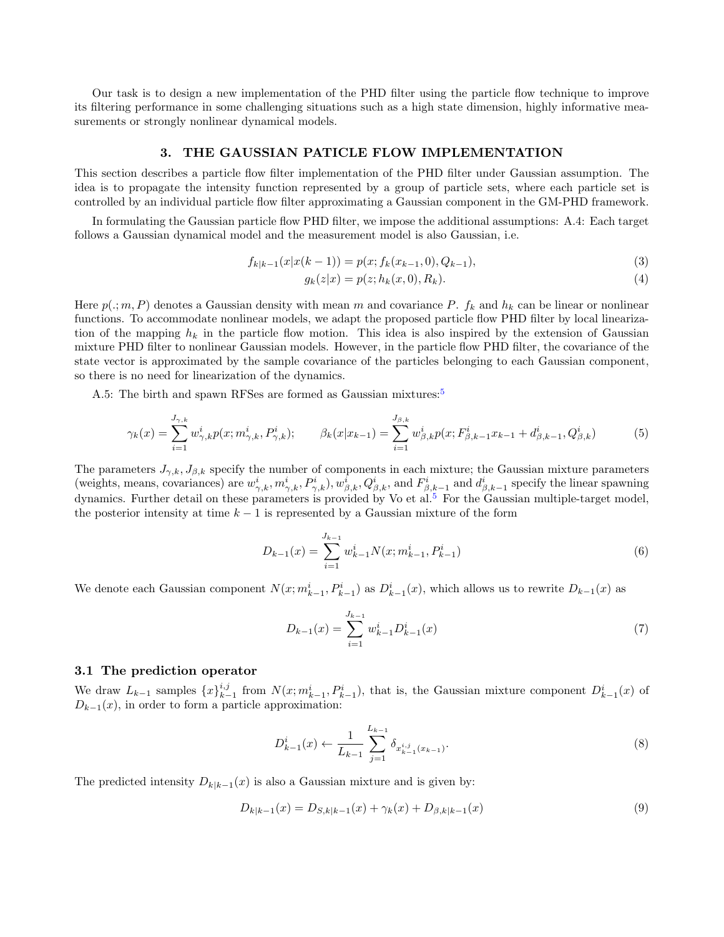Our task is to design a new implementation of the PHD filter using the particle flow technique to improve its filtering performance in some challenging situations such as a high state dimension, highly informative measurements or strongly nonlinear dynamical models.

#### 3. THE GAUSSIAN PATICLE FLOW IMPLEMENTATION

This section describes a particle flow filter implementation of the PHD filter under Gaussian assumption. The idea is to propagate the intensity function represented by a group of particle sets, where each particle set is controlled by an individual particle flow filter approximating a Gaussian component in the GM-PHD framework.

In formulating the Gaussian particle flow PHD filter, we impose the additional assumptions: A.4: Each target follows a Gaussian dynamical model and the measurement model is also Gaussian, i.e.

$$
f_{k|k-1}(x|x(k-1)) = p(x; f_k(x_{k-1}, 0), Q_{k-1}),
$$
\n(3)

$$
g_k(z|x) = p(z; h_k(x, 0), R_k).
$$
\n(4)

Here  $p(.; m, P)$  denotes a Gaussian density with mean m and covariance P.  $f_k$  and  $h_k$  can be linear or nonlinear functions. To accommodate nonlinear models, we adapt the proposed particle flow PHD filter by local linearization of the mapping  $h_k$  in the particle flow motion. This idea is also inspired by the extension of Gaussian mixture PHD filter to nonlinear Gaussian models. However, in the particle flow PHD filter, the covariance of the state vector is approximated by the sample covariance of the particles belonging to each Gaussian component, so there is no need for linearization of the dynamics.

A.[5](#page-9-2): The birth and spawn RFSes are formed as Gaussian mixtures:<sup>5</sup>

$$
\gamma_k(x) = \sum_{i=1}^{J_{\gamma,k}} w_{\gamma,k}^i p(x; m_{\gamma,k}^i, P_{\gamma,k}^i); \qquad \beta_k(x|x_{k-1}) = \sum_{i=1}^{J_{\beta,k}} w_{\beta,k}^i p(x; F_{\beta,k-1}^i x_{k-1} + d_{\beta,k-1}^i, Q_{\beta,k}^i)
$$
(5)

The parameters  $J_{\gamma,k}$ ,  $J_{\beta,k}$  specify the number of components in each mixture; the Gaussian mixture parameters (weights, means, covariances) are  $w_{\gamma,k}^i, m_{\gamma,k}^i, P_{\gamma,k}^i, w_{\beta,k}^i, Q_{\beta,k}^i$ , and  $F_{\beta,k-1}^i$  and  $d_{\beta,k-1}^i$  specify the linear spawning dynamics. Further detail on these parameters is provided by Vo et al.<sup>[5](#page-9-2)</sup> For the Gaussian multiple-target model, the posterior intensity at time  $k - 1$  is represented by a Gaussian mixture of the form

$$
D_{k-1}(x) = \sum_{i=1}^{J_{k-1}} w_{k-1}^i N(x; m_{k-1}^i, P_{k-1}^i)
$$
\n(6)

We denote each Gaussian component  $N(x; m_{k-1}^i, P_{k-1}^i)$  as  $D_{k-1}^i(x)$ , which allows us to rewrite  $D_{k-1}(x)$  as

$$
D_{k-1}(x) = \sum_{i=1}^{J_{k-1}} w_{k-1}^i D_{k-1}^i(x)
$$
\n(7)

# 3.1 The prediction operator

We draw  $L_{k-1}$  samples  $\{x\}_{k-1}^{i,j}$  from  $N(x; m_{k-1}^i, P_{k-1}^i)$ , that is, the Gaussian mixture component  $D_{k-1}^i(x)$  of  $D_{k-1}(x)$ , in order to form a particle approximation:

$$
D_{k-1}^{i}(x) \leftarrow \frac{1}{L_{k-1}} \sum_{j=1}^{L_{k-1}} \delta_{x_{k-1}^{i,j}(x_{k-1})}.
$$
\n(8)

The predicted intensity  $D_{k|k-1}(x)$  is also a Gaussian mixture and is given by:

$$
D_{k|k-1}(x) = D_{S,k|k-1}(x) + \gamma_k(x) + D_{\beta,k|k-1}(x)
$$
\n(9)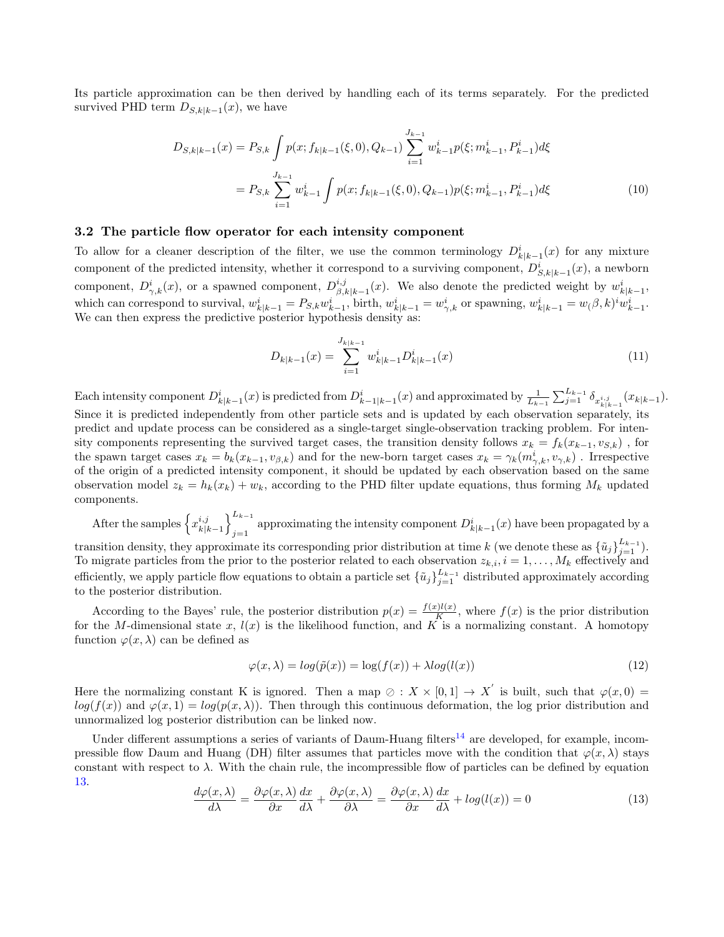Its particle approximation can be then derived by handling each of its terms separately. For the predicted survived PHD term  $D_{S,k|k-1}(x)$ , we have

$$
D_{S,k|k-1}(x) = P_{S,k} \int p(x; f_{k|k-1}(\xi, 0), Q_{k-1}) \sum_{i=1}^{J_{k-1}} w_{k-1}^i p(\xi; m_{k-1}^i, P_{k-1}^i) d\xi
$$
  
= 
$$
P_{S,k} \sum_{i=1}^{J_{k-1}} w_{k-1}^i \int p(x; f_{k|k-1}(\xi, 0), Q_{k-1}) p(\xi; m_{k-1}^i, P_{k-1}^i) d\xi
$$
 (10)

#### 3.2 The particle flow operator for each intensity component

To allow for a cleaner description of the filter, we use the common terminology  $D_{k|k-1}^i(x)$  for any mixture component of the predicted intensity, whether it correspond to a surviving component,  $D_{S,k|k-1}^i(x)$ , a newborn component,  $D^i_{\gamma,k}(x)$ , or a spawned component,  $D^{i,j}_{\beta,j}$  $\psi_{\beta,k|k-1}^{i,j}(x)$ . We also denote the predicted weight by  $w_{k|k-1}^{i,j}$ , which can correspond to survival,  $w_{k|k-1}^i = P_{S,k} w_{k-1}^i$ , birth,  $w_{k|k-1}^i = w_{\gamma,k}^i$  or spawning,  $w_{k|k-1}^i = w_{\gamma,k}^i \delta(w_{k-1}^i, w_{k-1}^i, w_{k-1}^i, w_{k-1}^i, w_{k-1}^i, w_{k-1}^i, w_{k-1}^i, w_{k-1}^i, w_{k-1}^i, w_{k-1}^i, w_{k-1$ We can then express the predictive posterior hypothesis density as:

$$
D_{k|k-1}(x) = \sum_{i=1}^{J_{k|k-1}} w_{k|k-1}^i D_{k|k-1}^i(x)
$$
\n(11)

Each intensity component  $D_{k|k-1}^i(x)$  is predicted from  $D_{k-1|k-1}^i(x)$  and approximated by  $\frac{1}{L_{k-1}}\sum_{j=1}^{L_{k-1}} \delta_{x_{k|k-1}^{i,j}}(x_{k|k-1})$ . Since it is predicted independently from other particle sets and is updated by each observation separately, its predict and update process can be considered as a single-target single-observation tracking problem. For intensity components representing the survived target cases, the transition density follows  $x_k = f_k(x_{k-1}, v_{S,k})$ , for the spawn target cases  $x_k = b_k(x_{k-1}, v_{\beta,k})$  and for the new-born target cases  $x_k = \gamma_k(m_{\gamma,k}^i, v_{\gamma,k})$ . Irrespective of the origin of a predicted intensity component, it should be updated by each observation based on the same observation model  $z_k = h_k(x_k) + w_k$ , according to the PHD filter update equations, thus forming  $M_k$  updated components.

After the samples  $\left\{x_{k|i}^{i,j}\right\}$  $\left\{\begin{matrix} i,j\\k|k-1 \end{matrix}\right\}_{i=1}^{L_{k-1}}$ approximating the intensity component  $D_{k|k-1}^i(x)$  have been propagated by a transition density, they approximate its corresponding prior distribution at time k (we denote these as  $\{\tilde{u}_j\}_{j=1}^{L_{k-1}}$ ). To migrate particles from the prior to the posterior related to each observation  $z_{k,i}$ ,  $i = 1, \ldots, M_k$  effectively and efficiently, we apply particle flow equations to obtain a particle set  $\{\tilde{u}_j\}_{j=1}^{L_{k-1}}$  distributed approximately according to the posterior distribution.

According to the Bayes' rule, the posterior distribution  $p(x) = \frac{f(x)l(x)}{K}$ , where  $f(x)$  is the prior distribution for the M-dimensional state x,  $l(x)$  is the likelihood function, and K is a normalizing constant. A homotopy function  $\varphi(x,\lambda)$  can be defined as

$$
\varphi(x,\lambda) = \log(\tilde{p}(x)) = \log(f(x)) + \lambda \log(l(x))\tag{12}
$$

Here the normalizing constant K is ignored. Then a map  $\emptyset : X \times [0,1] \to X'$  is built, such that  $\varphi(x,0) =$  $log(f(x))$  and  $\varphi(x,1) = log(p(x,\lambda))$ . Then through this continuous deformation, the log prior distribution and unnormalized log posterior distribution can be linked now.

Under different assumptions a series of variants of Daum-Huang filters<sup>[14](#page-10-1)</sup> are developed, for example, incompressible flow Daum and Huang (DH) filter assumes that particles move with the condition that  $\varphi(x, \lambda)$  stays constant with respect to  $\lambda$ . With the chain rule, the incompressible flow of particles can be defined by equation [13.](#page-3-0)

<span id="page-3-0"></span>
$$
\frac{d\varphi(x,\lambda)}{d\lambda} = \frac{\partial\varphi(x,\lambda)}{\partial x}\frac{dx}{d\lambda} + \frac{\partial\varphi(x,\lambda)}{\partial x} = \frac{\partial\varphi(x,\lambda)}{\partial x}\frac{dx}{d\lambda} + \log(l(x)) = 0
$$
\n(13)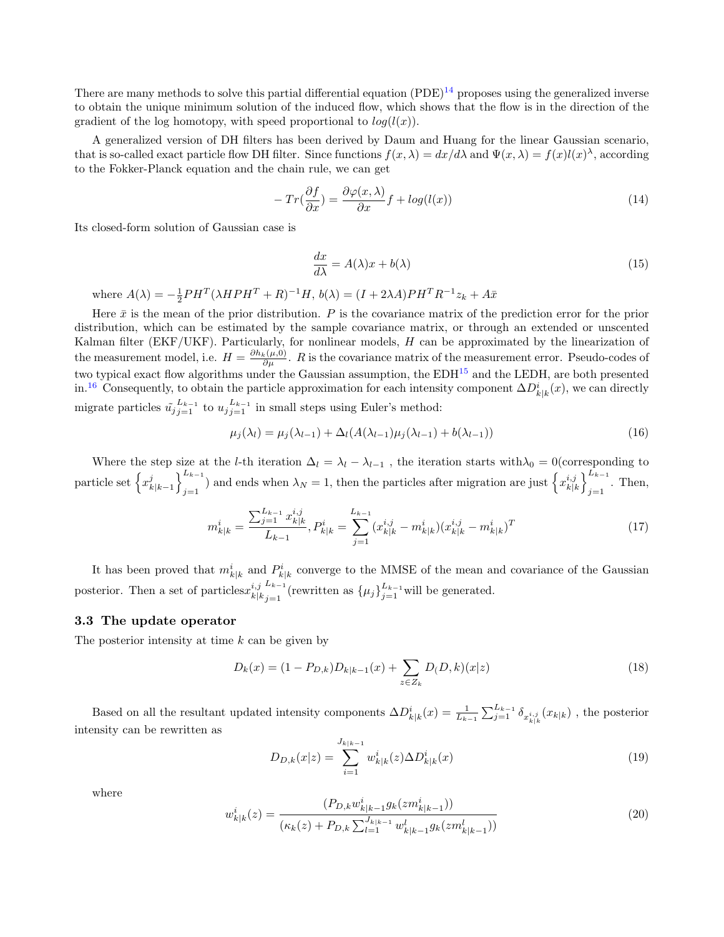There are many methods to solve this partial differential equation  $(PDE)^{14}$  $(PDE)^{14}$  $(PDE)^{14}$  proposes using the generalized inverse to obtain the unique minimum solution of the induced flow, which shows that the flow is in the direction of the gradient of the log homotopy, with speed proportional to  $log(l(x))$ .

A generalized version of DH filters has been derived by Daum and Huang for the linear Gaussian scenario, that is so-called exact particle flow DH filter. Since functions  $f(x, \lambda) = dx/d\lambda$  and  $\Psi(x, \lambda) = f(x)l(x)^{\lambda}$ , according to the Fokker-Planck equation and the chain rule, we can get

$$
-Tr(\frac{\partial f}{\partial x}) = \frac{\partial \varphi(x,\lambda)}{\partial x}f + \log(l(x))\tag{14}
$$

Its closed-form solution of Gaussian case is

$$
\frac{dx}{d\lambda} = A(\lambda)x + b(\lambda) \tag{15}
$$

where  $A(\lambda) = -\frac{1}{2}PH^{T}(\lambda HPH^{T} + R)^{-1}H$ ,  $b(\lambda) = (I + 2\lambda A)PH^{T}R^{-1}z_{k} + A\bar{x}$ 

Here  $\bar{x}$  is the mean of the prior distribution. P is the covariance matrix of the prediction error for the prior distribution, which can be estimated by the sample covariance matrix, or through an extended or unscented Kalman filter (EKF/UKF). Particularly, for nonlinear models, H can be approximated by the linearization of the measurement model, i.e.  $H = \frac{\partial h_k(\mu,0)}{\partial \mu}$ . R is the covariance matrix of the measurement error. Pseudo-codes of two typical exact flow algorithms under the Gaussian assumption, the EDH[15](#page-10-2) and the LEDH, are both presented in.<sup>[16](#page-10-3)</sup> Consequently, to obtain the particle approximation for each intensity component  $\Delta D_{k|k}^i(x)$ , we can directly migrate particles  $\tilde{u}_{j}^{L_{k-1}}$  to  $u_{j}^{L_{k-1}}$  in small steps using Euler's method:

$$
\mu_j(\lambda_l) = \mu_j(\lambda_{l-1}) + \Delta_l(A(\lambda_{l-1})\mu_j(\lambda_{l-1}) + b(\lambda_{l-1}))
$$
\n(16)

Where the step size at the l-th iteration  $\Delta_l = \lambda_l - \lambda_{l-1}$ , the iteration starts with $\lambda_0 = 0$ (corresponding to particle set  $\left\{x_i^j\right\}$  $\binom{k}{k}$ <sub>k</sub> $\binom{k-1}{i-1}$  $\binom{L_{k-1}}{j=1}$  and ends when  $\lambda_N = 1$ , then the particles after migration are just  $\left\{ x_{k|l}^{i,j} \right\}$  $\binom{i,j}{k,k}$ <sub>i-1</sub>  $_{j=1}$ . Then,

$$
m_{k|k}^i = \frac{\sum_{j=1}^{L_{k-1}} x_{k|k}^{i,j}}{L_{k-1}}, P_{k|k}^i = \sum_{j=1}^{L_{k-1}} (x_{k|k}^{i,j} - m_{k|k}^i)(x_{k|k}^{i,j} - m_{k|k}^i)^T
$$
\n(17)

It has been proved that  $m_{k|k}^i$  and  $P_{k|k}^i$  converge to the MMSE of the mean and covariance of the Gaussian posterior. Then a set of particles  $x_{k|j}^{i,j}$  $k|k$  $L_{k-1}$  $\frac{L_{k-1}}{j=1}$  (rewritten as  $\{\mu_j\}_{j=1}^{L_{k-1}}$  will be generated.

#### 3.3 The update operator

The posterior intensity at time  $k$  can be given by

$$
D_k(x) = (1 - P_{D,k})D_{k|k-1}(x) + \sum_{z \in Z_k} D(D,k)(x|z)
$$
\n(18)

Based on all the resultant updated intensity components  $\Delta D_{k|k}^i(x) = \frac{1}{L_{k-1}} \sum_{j=1}^{L_{k-1}} \delta_{x_{k|k}^{i,j}}(x_{k|k})$ , the posterior intensity can be rewritten as

$$
D_{D,k}(x|z) = \sum_{i=1}^{J_{k|k-1}} w_{k|k}^i(z) \Delta D_{k|k}^i(x)
$$
\n(19)

where

$$
w_{k|k}^{i}(z) = \frac{(P_{D,k}w_{k|k-1}^{i}g_k(zm_{k|k-1}^{i}))}{(\kappa_k(z) + P_{D,k}\sum_{l=1}^{J_{k|k-1}}w_{k|k-1}^{l}g_k(zm_{k|k-1}^{l}))}
$$
(20)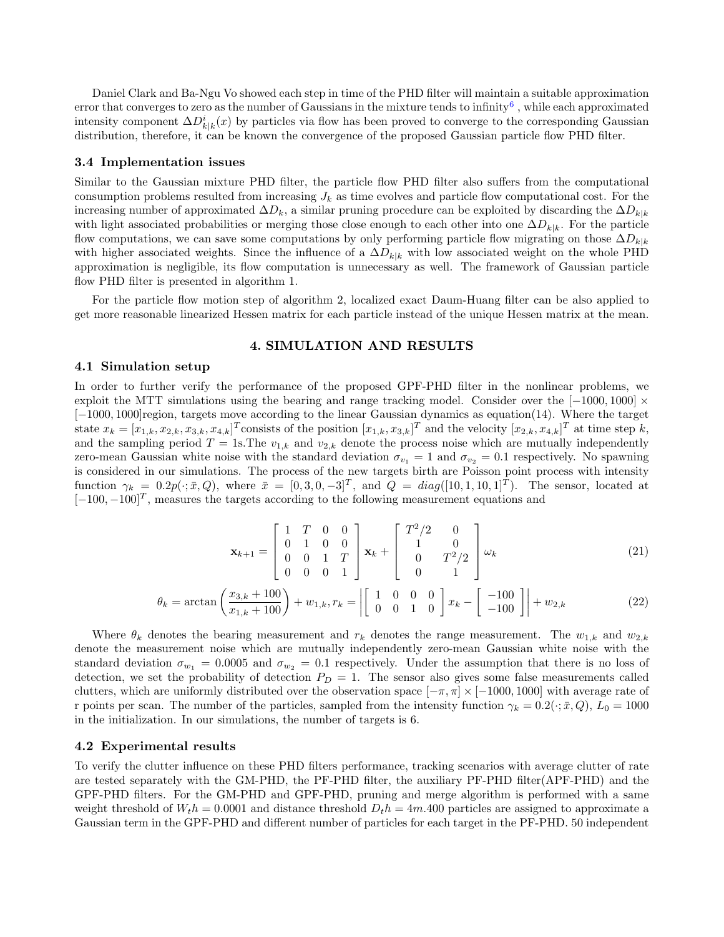Daniel Clark and Ba-Ngu Vo showed each step in time of the PHD filter will maintain a suitable approximation error that converges to zero as the number of Gaussians in the mixture tends to infinity<sup>[6](#page-9-3)</sup>, while each approximated intensity component  $\Delta D_{k|k}^i(x)$  by particles via flow has been proved to converge to the corresponding Gaussian distribution, therefore, it can be known the convergence of the proposed Gaussian particle flow PHD filter.

#### 3.4 Implementation issues

Similar to the Gaussian mixture PHD filter, the particle flow PHD filter also suffers from the computational consumption problems resulted from increasing  $J_k$  as time evolves and particle flow computational cost. For the increasing number of approximated  $\Delta D_k$ , a similar pruning procedure can be exploited by discarding the  $\Delta D_{k|k}$ with light associated probabilities or merging those close enough to each other into one  $\Delta D_{k|k}$ . For the particle flow computations, we can save some computations by only performing particle flow migrating on those  $\Delta D_{k|k}$ with higher associated weights. Since the influence of a  $\Delta D_{k|k}$  with low associated weight on the whole PHD approximation is negligible, its flow computation is unnecessary as well. The framework of Gaussian particle flow PHD filter is presented in algorithm 1.

For the particle flow motion step of algorithm 2, localized exact Daum-Huang filter can be also applied to get more reasonable linearized Hessen matrix for each particle instead of the unique Hessen matrix at the mean.

### 4. SIMULATION AND RESULTS

#### 4.1 Simulation setup

In order to further verify the performance of the proposed GPF-PHD filter in the nonlinear problems, we exploit the MTT simulations using the bearing and range tracking model. Consider over the  $[-1000, 1000] \times$ [−1000, 1000]region, targets move according to the linear Gaussian dynamics as equation(14). Where the target state  $x_k = [x_{1,k}, x_{2,k}, x_{3,k}, x_{4,k}]^T$ consists of the position  $[x_{1,k}, x_{3,k}]^T$  and the velocity  $[x_{2,k}, x_{4,k}]^T$  at time step k, and the sampling period  $T = 1$ s. The  $v_{1,k}$  and  $v_{2,k}$  denote the process noise which are mutually independently zero-mean Gaussian white noise with the standard deviation  $\sigma_{v_1} = 1$  and  $\sigma_{v_2} = 0.1$  respectively. No spawning is considered in our simulations. The process of the new targets birth are Poisson point process with intensity function  $\gamma_k = 0.2p(\cdot;\bar{x},Q)$ , where  $\bar{x} = [0,3,0,-3]^T$ , and  $Q = diag([10,1,10,1]^T)$ . The sensor, located at  $[-100, -100]^T$ , measures the targets according to the following measurement equations and

$$
\mathbf{x}_{k+1} = \begin{bmatrix} 1 & T & 0 & 0 \\ 0 & 1 & 0 & 0 \\ 0 & 0 & 1 & T \\ 0 & 0 & 0 & 1 \end{bmatrix} \mathbf{x}_k + \begin{bmatrix} T^2/2 & 0 \\ 1 & 0 \\ 0 & T^2/2 \\ 0 & 1 \end{bmatrix} \omega_k
$$
(21)

$$
\theta_k = \arctan\left(\frac{x_{3,k} + 100}{x_{1,k} + 100}\right) + w_{1,k}, r_k = \left| \begin{bmatrix} 1 & 0 & 0 & 0 \\ 0 & 0 & 1 & 0 \end{bmatrix} x_k - \begin{bmatrix} -100 \\ -100 \end{bmatrix} \right| + w_{2,k} \tag{22}
$$

Where  $\theta_k$  denotes the bearing measurement and  $r_k$  denotes the range measurement. The  $w_{1,k}$  and  $w_{2,k}$ denote the measurement noise which are mutually independently zero-mean Gaussian white noise with the standard deviation  $\sigma_{w_1} = 0.0005$  and  $\sigma_{w_2} = 0.1$  respectively. Under the assumption that there is no loss of detection, we set the probability of detection  $P_D = 1$ . The sensor also gives some false measurements called clutters, which are uniformly distributed over the observation space  $[-\pi, \pi] \times [-1000, 1000]$  with average rate of r points per scan. The number of the particles, sampled from the intensity function  $\gamma_k = 0.2(\cdot; \bar{x}, Q)$ ,  $L_0 = 1000$ in the initialization. In our simulations, the number of targets is 6.

# 4.2 Experimental results

To verify the clutter influence on these PHD filters performance, tracking scenarios with average clutter of rate are tested separately with the GM-PHD, the PF-PHD filter, the auxiliary PF-PHD filter(APF-PHD) and the GPF-PHD filters. For the GM-PHD and GPF-PHD, pruning and merge algorithm is performed with a same weight threshold of  $W_t h = 0.0001$  and distance threshold  $D_t h = 4m.400$  particles are assigned to approximate a Gaussian term in the GPF-PHD and different number of particles for each target in the PF-PHD. 50 independent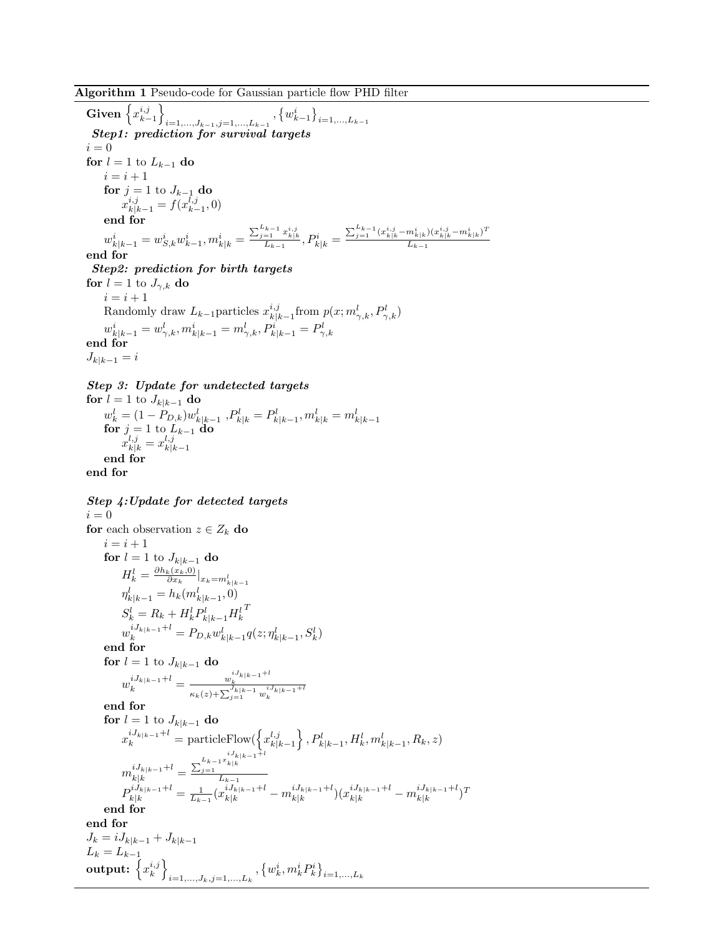Algorithm 1 Pseudo-code for Gaussian particle flow PHD filter

Given  $\left\{x_{k-1}^{i,j}\right\}$  $_{i=1,...,J_{k-1},j=1,...,L_{k-1}}$ ,  ${w_{k-1}^{i}}_{i=1,...,L_{k-1}}$ Step1: prediction for survival targets  $i = 0$ for  $l = 1$  to  $L_{k-1}$  do  $i = i + 1$ for  $j = 1$  to  $J_{k-1}$  do  $x_{k|k-1}^{i,j} = f(x_{k-1}^{l,j}, 0)$ end for  $w_{k|k-1}^i = w_{S,k}^i w_{k-1}^i, m_{k|k}^i =$  $\frac{\sum_{j=1}^{L_{k-1}} x_{k|k}^{i,j}}{L_{k-1}}, P_{k|k}^{i} =$  $\sum_{j=1}^{L_{k-1}}(x_{k|k}^{i,j}-m_{k|k}^{i})(x_{k|k}^{i,j}-m_{k|k}^{i})^{T}$  $L_{k-1}$ end for Step2: prediction for birth targets for  $l = 1$  to  $J_{\gamma,k}$  do  $i = i + 1$ Randomly draw  $L_{k-1}$  particles  $x_{k|j}^{i,j}$  $\frac{i,j}{k|k-1}$ from  $p(x; m_{\gamma,k}^l, P_{\gamma,k}^l)$  $w_{k|k-1}^i = w_{\gamma,k}^l, m_{k|k-1}^i = m_{\gamma,k}^l, P_{k|k-1}^i = P_{\gamma,k}^l$ end for  $J_{k|k-1} = i$ 

Step 3: Update for undetected targets

for  $l = 1$  to  $J_{k|k-1}$  do  $w_k^l = (1 - P_{D,k})w_{k|k-1}^l$  ,  $P_{k|k}^l = P_{k|k-1}^l, m_{k|k}^l = m_{k|k-1}^l$ <br>for  $j = 1$  to  $L_{k-1}$  do  $x_{k|k}^{l,j} = x_{k|l}^{l,j}$  $k|k-1$ end for end for

Step 4:Update for detected targets  $i = 0$ for each observation  $z \in Z_k$  do  $i = i + 1$ for  $l = 1$  to  $J_{k|k-1}$  do  $H_k^l = \frac{\partial h_k(x_k,0)}{\partial x_k}$  $H_k^l = \frac{\partial n_k(x_k,0)}{\partial x_k}\big|_{x_k=m_{k|k-1}^l}$ <br>  $\eta_{k|k-1}^l = h_k(m_{k|k-1}^l,0)$  $S_k^l = R_k + H_k^l P_{k|k-1}^l H_k^l$  $\boldsymbol{\mathcal{I}}$  $w_k^{iJ_{k|k-1}+l} = P_{D,k} w_{k|k-1}^l q(z; \eta_{k|k-1}^l, S_k^l)$ end for for  $l = 1$  to  $J_{k|k-1}$  do  $w_k^{iJ_{k|k-1}+l} = \frac{w_k^{iJ_{k|k-1}+l}}{\kappa_k(z)+\sum_{j=1}^{J_{k|k}-1}w_k^{iJ_{k|k-1}+l}}$ end for for  $l = 1$  to  $J_{k|k-1}$  do  $x_k^{iJ_{k|k-1}+l} = \text{particleFlow}(\left\{x_{k|i}^{l,j}\right\})$  $\left\{k, k-1 \atop k|k-1 \right\}, P_{k|k-1}^l, H_k^l, m_{k|k-1}^l, R_k, z$  $m_{k|k}^{iJ_{k|k-1}+l} =$  $\frac{\sum_{j=1}^{L_{k-1}x} k|k-1+1}{L_{k-1}}$  $P_{k|k}^{iJ_{k|k-1}+l} = \frac{1}{L_{k-1}} (x_{k|k}^{iJ_{k|k-1}+l} - m_{k|k}^{iJ_{k|k-1}+l}$  $\frac{iJ_{k|k-1}{+}l}{k|k} ) (x^{iJ_{k|k-1}{+}l}_{k|k} - m^{iJ_{k|k-1}{+}l}_{k|k} )$  $\frac{iJ_k|k-1}+i}{k|k}$ end for end for  $J_k = iJ_{k|k-1} + J_{k|k-1}$  $L_k = L_{k-1}$  $\text{output: } \left\{x_k^{i,j}\right\}$  $_{i=1,...,J_k,j=1,...,L_k}$  ,  $\left\{w_k^i,m_k^iP_k^i\right\}_{i=1,...,L_k}$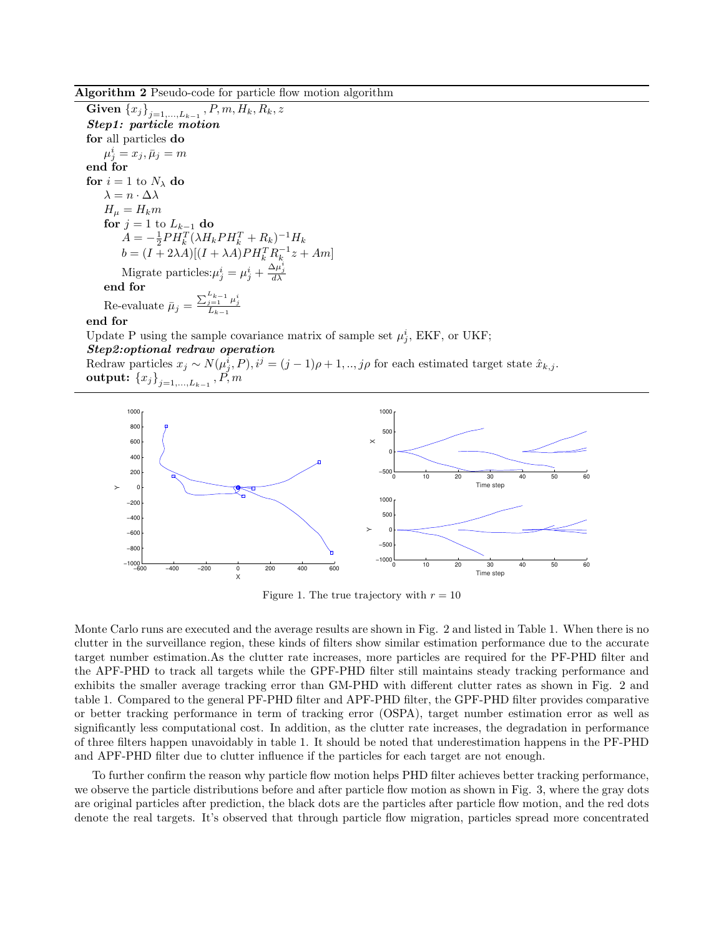Algorithm 2 Pseudo-code for particle flow motion algorithm

 $\operatorname{\mathbf{Given}} \left\{x_j\right\}_{j=1,...,L_{k-1}}, P, m, H_k, R_k, z$ Step1: particle motion for all particles do  $\mu^i_j = x_j, \bar{\mu}_j = m$ end for for  $i=1$  to  $N_\lambda$  do  $\lambda = n \cdot \Delta \lambda$  $H_{\mu} = H_k m$ for  $j = 1$  to  $L_{k-1}$  do  $A = -\frac{1}{2}PH_k^T(\lambda H_k PH_k^T + R_k)^{-1}H_k$  $b = (I + 2\lambda A)[(I + \lambda A)PH_k^T R_k^{-1}z + Am]$ Migrate particles: $\mu_j^i = \mu_j^i + \frac{\Delta \mu_j^i}{d\lambda}$ end for Re-evaluate  $\bar{\mu}_j = \frac{\sum_{j=1}^{L_{k-1}} \mu_j^i}{L_{k-1}}$ 

end for

Update P using the sample covariance matrix of sample set  $\mu_j^i$ , EKF, or UKF;

Step2:optional redraw operation

Redraw particles  $x_j \sim N(\mu_j^i, P), i^j = (j-1)\rho + 1, ..., j\rho$  for each estimated target state  $\hat{x}_{k,j}$ . output:  $\left\{x_j\right\}_{j=1,...,L_{k-1}}, P, m$ 



Figure 1. The true trajectory with  $r = 10$ 

Monte Carlo runs are executed and the average results are shown in Fig. 2 and listed in Table 1. When there is no clutter in the surveillance region, these kinds of filters show similar estimation performance due to the accurate target number estimation.As the clutter rate increases, more particles are required for the PF-PHD filter and the APF-PHD to track all targets while the GPF-PHD filter still maintains steady tracking performance and exhibits the smaller average tracking error than GM-PHD with different clutter rates as shown in Fig. 2 and table 1. Compared to the general PF-PHD filter and APF-PHD filter, the GPF-PHD filter provides comparative or better tracking performance in term of tracking error (OSPA), target number estimation error as well as significantly less computational cost. In addition, as the clutter rate increases, the degradation in performance of three filters happen unavoidably in table 1. It should be noted that underestimation happens in the PF-PHD and APF-PHD filter due to clutter influence if the particles for each target are not enough.

To further confirm the reason why particle flow motion helps PHD filter achieves better tracking performance, we observe the particle distributions before and after particle flow motion as shown in Fig. 3, where the gray dots are original particles after prediction, the black dots are the particles after particle flow motion, and the red dots denote the real targets. It's observed that through particle flow migration, particles spread more concentrated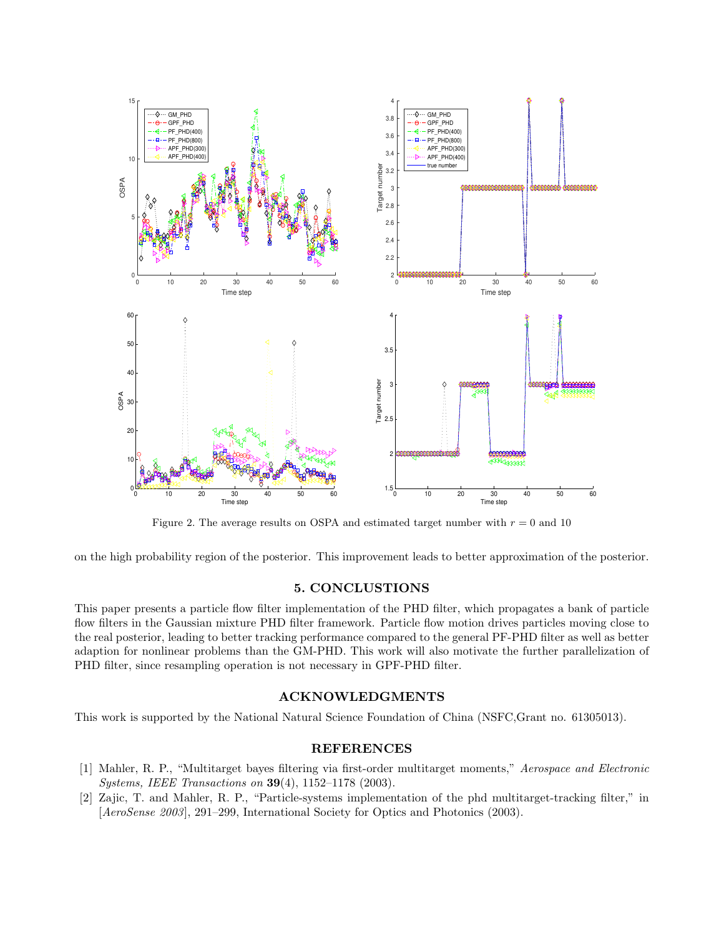

Figure 2. The average results on OSPA and estimated target number with  $r = 0$  and 10

on the high probability region of the posterior. This improvement leads to better approximation of the posterior.

# 5. CONCLUSTIONS

This paper presents a particle flow filter implementation of the PHD filter, which propagates a bank of particle flow filters in the Gaussian mixture PHD filter framework. Particle flow motion drives particles moving close to the real posterior, leading to better tracking performance compared to the general PF-PHD filter as well as better adaption for nonlinear problems than the GM-PHD. This work will also motivate the further parallelization of PHD filter, since resampling operation is not necessary in GPF-PHD filter.

# ACKNOWLEDGMENTS

This work is supported by the National Natural Science Foundation of China (NSFC,Grant no. 61305013).

# REFERENCES

- <span id="page-8-0"></span>[1] Mahler, R. P., "Multitarget bayes filtering via first-order multitarget moments," Aerospace and Electronic Systems, IEEE Transactions on 39(4), 1152–1178 (2003).
- <span id="page-8-1"></span>[2] Zajic, T. and Mahler, R. P., "Particle-systems implementation of the phd multitarget-tracking filter," in [AeroSense 2003], 291–299, International Society for Optics and Photonics (2003).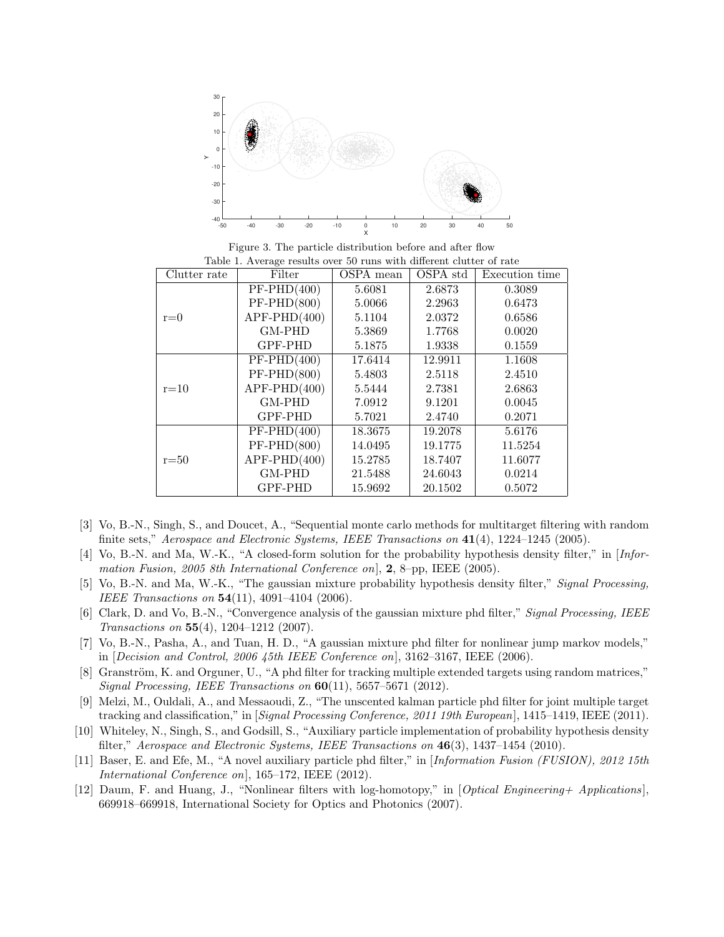

Figure 3. The particle distribution before and after flow Table 1. Average results over 50 runs with different clutter of rate

| Clutter rate | Filter         | OSPA mean | OSPA std | Execution time |
|--------------|----------------|-----------|----------|----------------|
| $r=0$        | $PF-PHD(400)$  | 5.6081    | 2.6873   | 0.3089         |
|              | $PF-PHD(800)$  | 5.0066    | 2.2963   | 0.6473         |
|              | $APF-PHD(400)$ | 5.1104    | 2.0372   | 0.6586         |
|              | GM-PHD         | 5.3869    | 1.7768   | 0.0020         |
|              | <b>GPF-PHD</b> | 5.1875    | 1.9338   | 0.1559         |
| $r=10$       | $PF-PHD(400)$  | 17.6414   | 12.9911  | 1.1608         |
|              | $PF-PHD(800)$  | 5.4803    | 2.5118   | 2.4510         |
|              | $APF-PHD(400)$ | 5.5444    | 2.7381   | 2.6863         |
|              | GM-PHD         | 7.0912    | 9.1201   | 0.0045         |
|              | GPF-PHD        | 5.7021    | 2.4740   | 0.2071         |
| $r = 50$     | $PF-PHD(400)$  | 18.3675   | 19.2078  | 5.6176         |
|              | $PF-PHD(800)$  | 14.0495   | 19.1775  | 11.5254        |
|              | $APF-PHD(400)$ | 15.2785   | 18.7407  | 11.6077        |
|              | GM-PHD         | 21.5488   | 24.6043  | 0.0214         |
|              | GPF-PHD        | 15.9692   | 20.1502  | 0.5072         |

- <span id="page-9-0"></span>[3] Vo, B.-N., Singh, S., and Doucet, A., "Sequential monte carlo methods for multitarget filtering with random finite sets," Aerospace and Electronic Systems, IEEE Transactions on  $41(4)$ , 1224–1245 (2005).
- <span id="page-9-1"></span>[4] Vo, B.-N. and Ma, W.-K., "A closed-form solution for the probability hypothesis density filter," in [Information Fusion, 2005 8th International Conference on,  $2$ , 8-pp, IEEE (2005).
- <span id="page-9-2"></span>[5] Vo, B.-N. and Ma, W.-K., "The gaussian mixture probability hypothesis density filter," Signal Processing, IEEE Transactions on 54(11), 4091–4104 (2006).
- <span id="page-9-3"></span>[6] Clark, D. and Vo, B.-N., "Convergence analysis of the gaussian mixture phd filter," Signal Processing, IEEE Transactions on 55(4), 1204–1212 (2007).
- <span id="page-9-4"></span>[7] Vo, B.-N., Pasha, A., and Tuan, H. D., "A gaussian mixture phd filter for nonlinear jump markov models," in  $[Decision and Control, 2006 45th IEEE Conference on], 3162-3167, IEEE (2006).$
- <span id="page-9-5"></span>[8] Granström, K. and Orguner, U., "A phd filter for tracking multiple extended targets using random matrices," Signal Processing, IEEE Transactions on  $60(11)$ , 5657-5671 (2012).
- <span id="page-9-6"></span>[9] Melzi, M., Ouldali, A., and Messaoudi, Z., "The unscented kalman particle phd filter for joint multiple target tracking and classification," in [Signal Processing Conference, 2011 19th European], 1415–1419, IEEE (2011).
- <span id="page-9-7"></span>[10] Whiteley, N., Singh, S., and Godsill, S., "Auxiliary particle implementation of probability hypothesis density filter," Aerospace and Electronic Systems, IEEE Transactions on  $46(3)$ , 1437–1454 (2010).
- <span id="page-9-8"></span>[11] Baser, E. and Efe, M., "A novel auxiliary particle phd filter," in [Information Fusion (FUSION), 2012 15th International Conference on], 165–172, IEEE (2012).
- <span id="page-9-9"></span>[12] Daum, F. and Huang, J., "Nonlinear filters with log-homotopy," in [Optical Engineering+ Applications], 669918–669918, International Society for Optics and Photonics (2007).